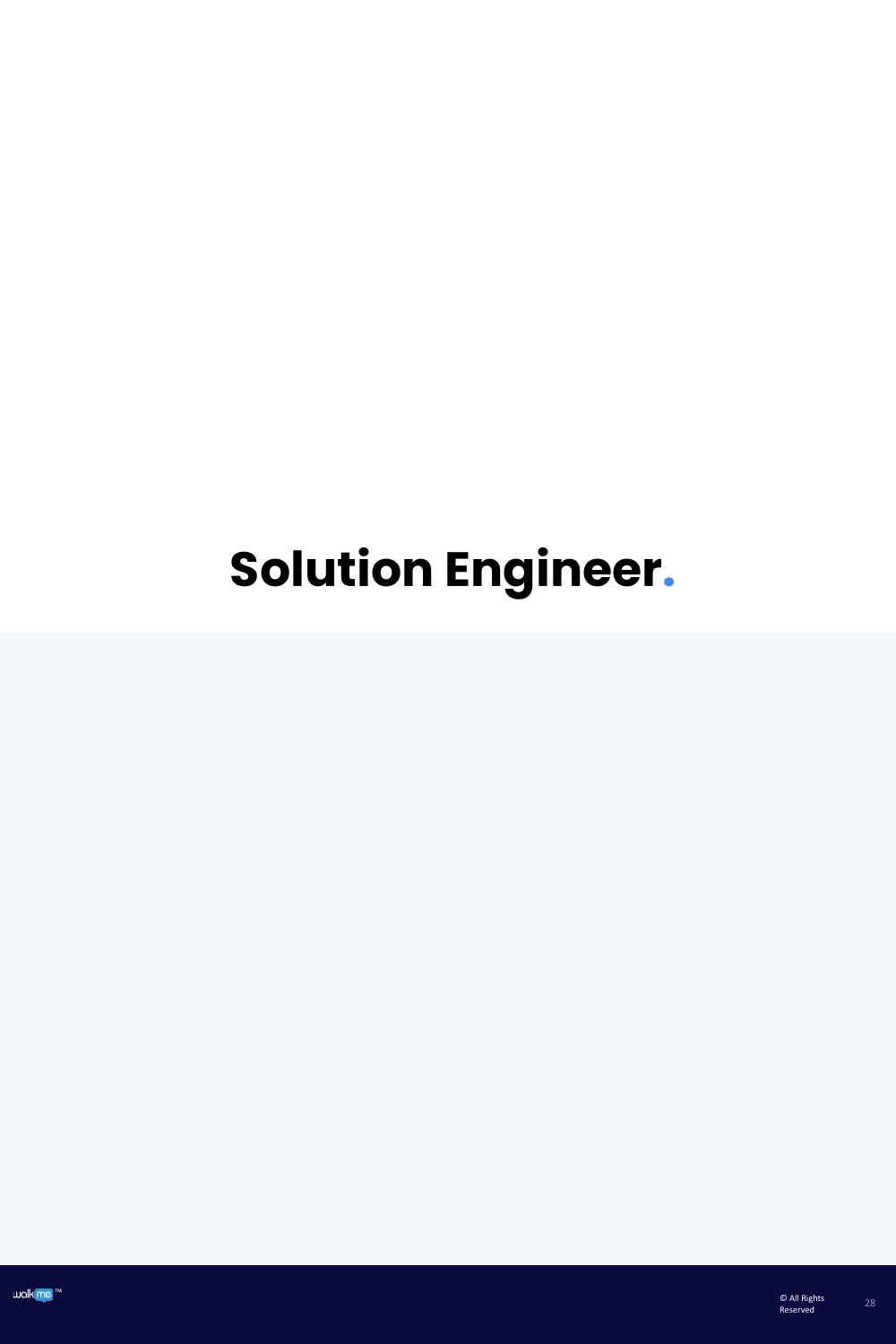# **Solution Engineer.**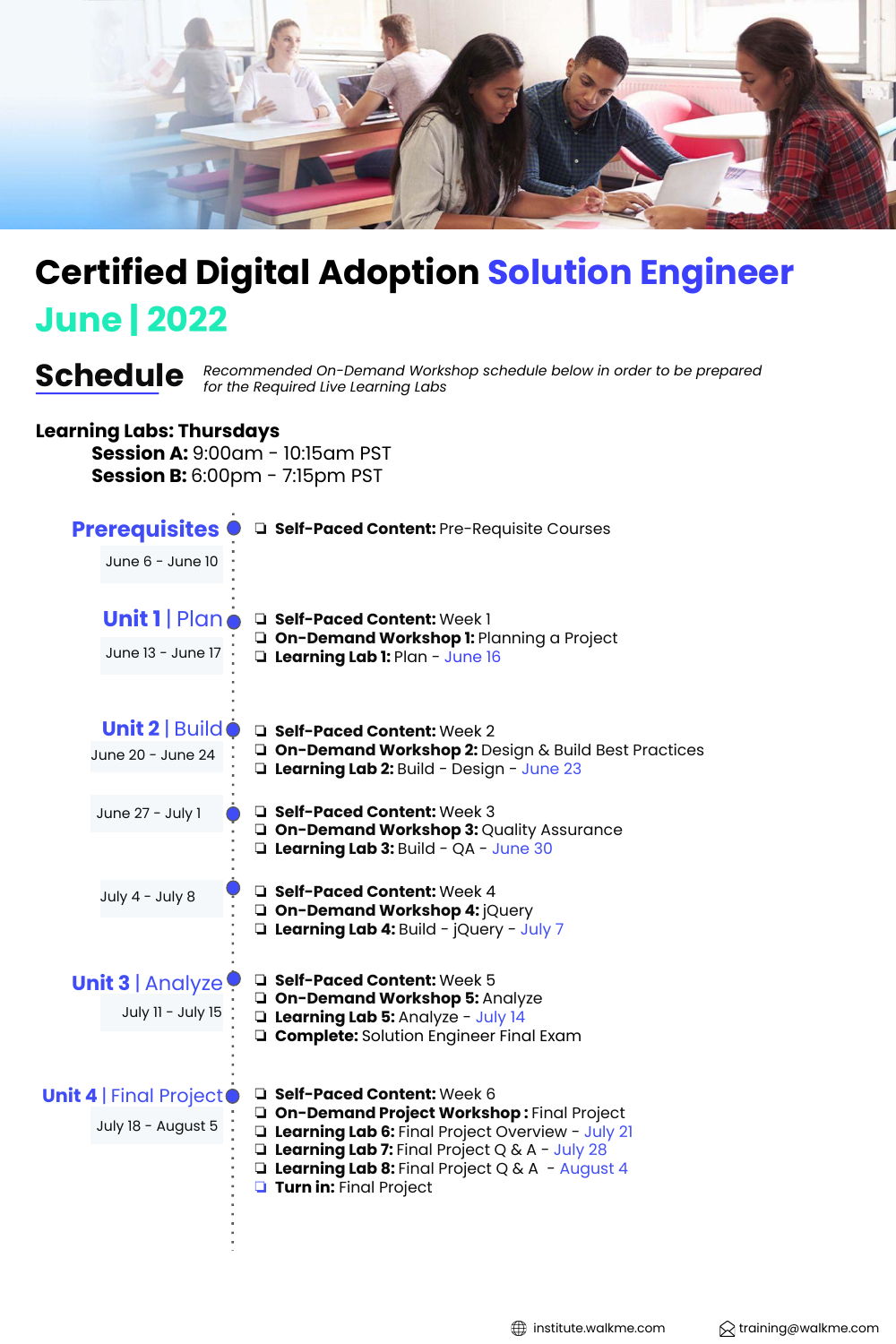

### **June | 2022 Certified Digital Adoption Solution Engineer**

*Recommended On-Demand Workshop schedule below in order to be prepared* **Schedule** *for the Required Live Learning Labs*

#### **Learning Labs: Thursdays**

**Session A:** 9:00am - 10:15am PST **Session B:** 6:00pm - 7:15pm PST

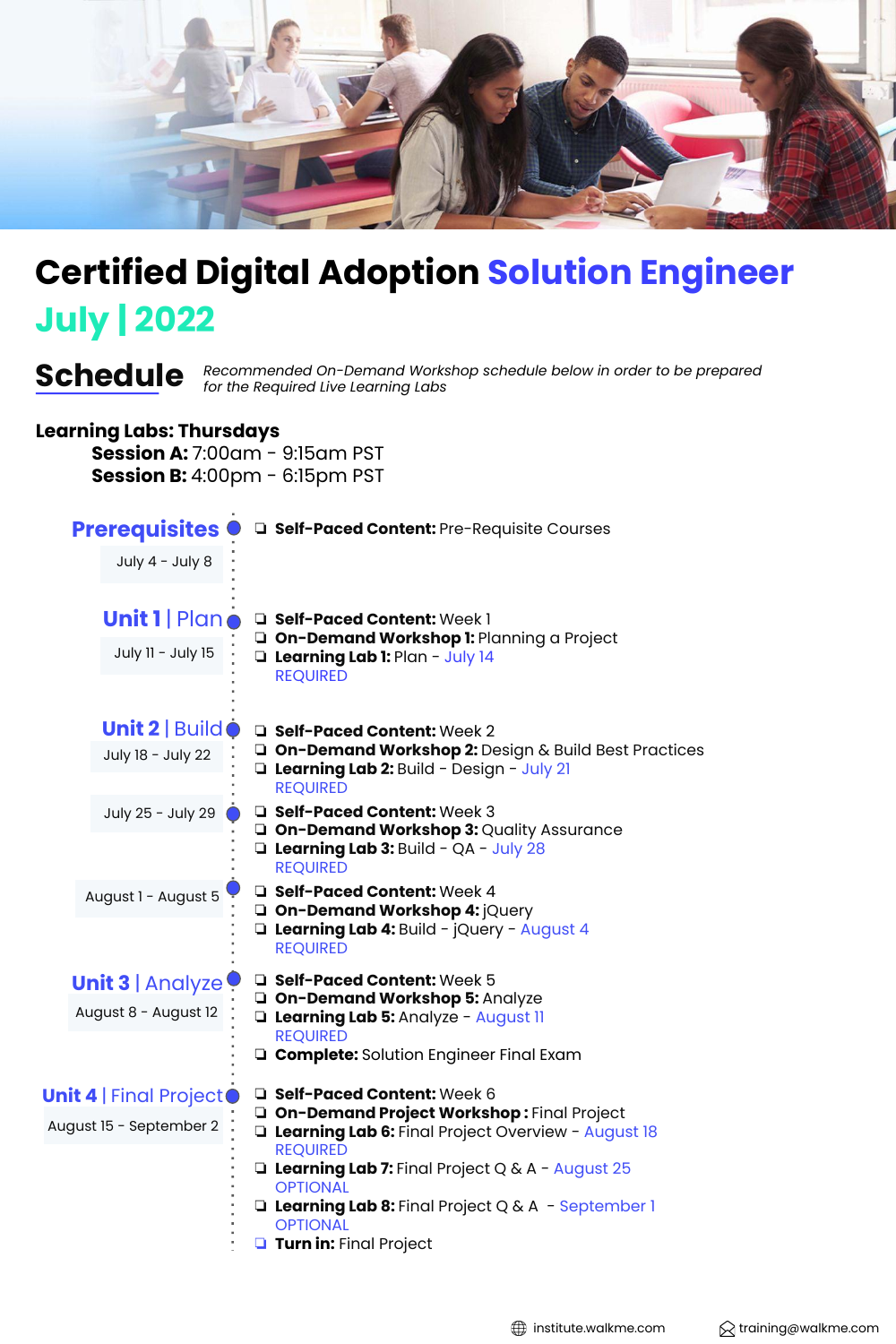

# **July | 2022 Certified Digital Adoption Solution Engineer**

*Recommended On-Demand Workshop schedule below in order to be prepared* **Schedule** *for the Required Live Learning Labs*

#### **Learning Labs: Thursdays**

**Session A:** 7:00am - 9:15am PST **Session B:** 4:00pm - 6:15pm PST

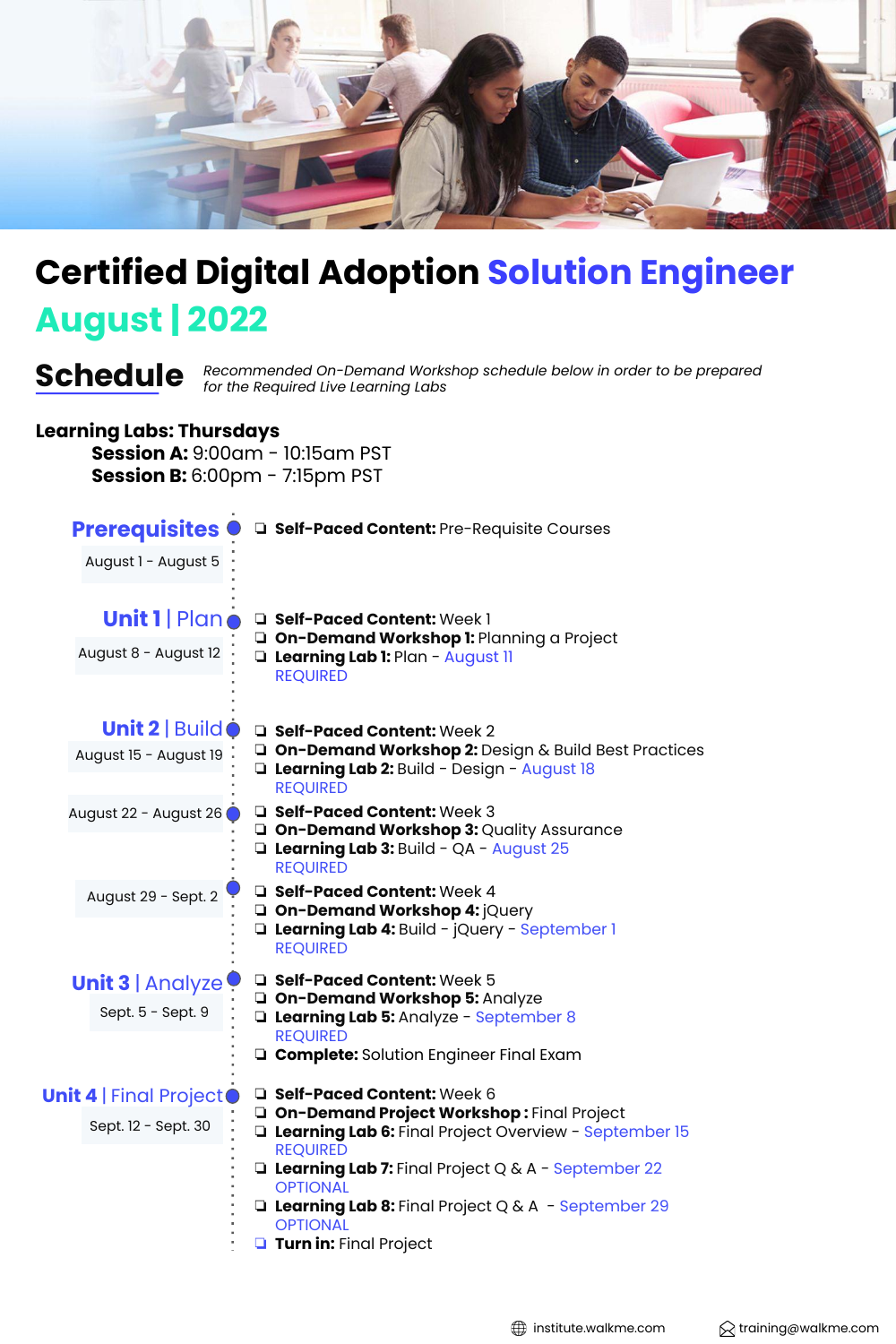

# **August | 2022 Certified Digital Adoption Solution Engineer**

*Recommended On-Demand Workshop schedule below in order to be prepared* **Schedule** *for the Required Live Learning Labs*

#### **Learning Labs: Thursdays**

**Session A:** 9:00am - 10:15am PST **Session B:** 6:00pm - 7:15pm PST